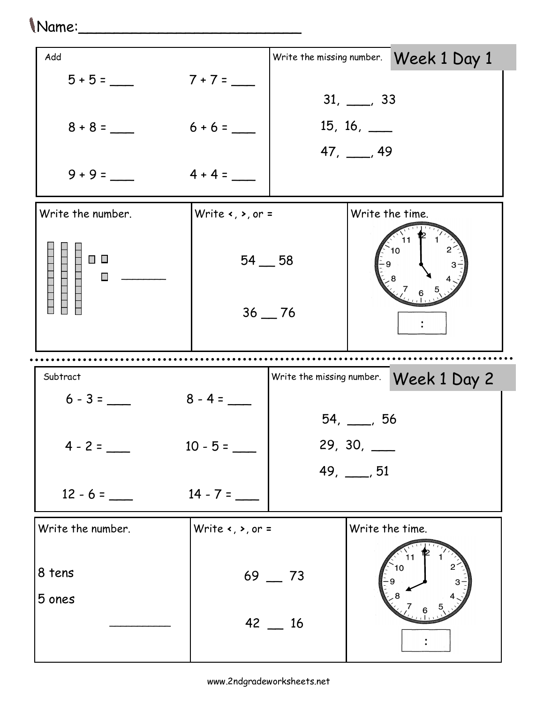## Name:\_\_\_\_\_\_\_\_\_\_\_\_\_\_\_\_\_\_\_\_\_\_\_\_\_

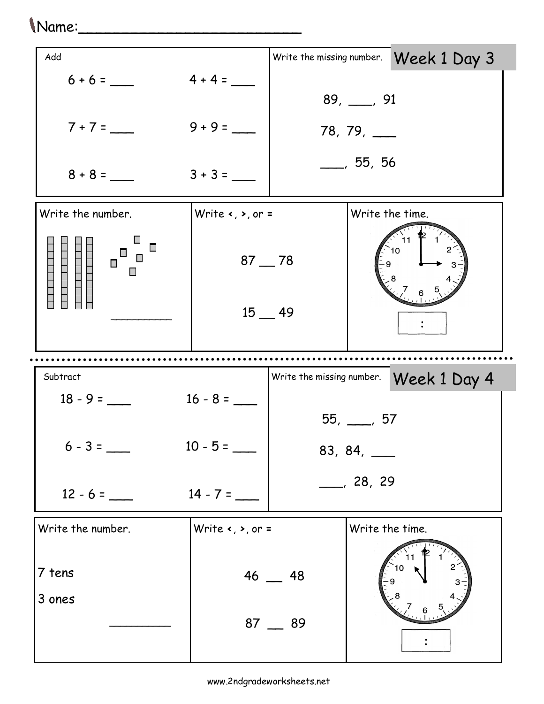## Name:\_\_\_\_\_\_\_\_\_\_\_\_\_\_\_\_\_\_\_\_\_\_\_\_\_